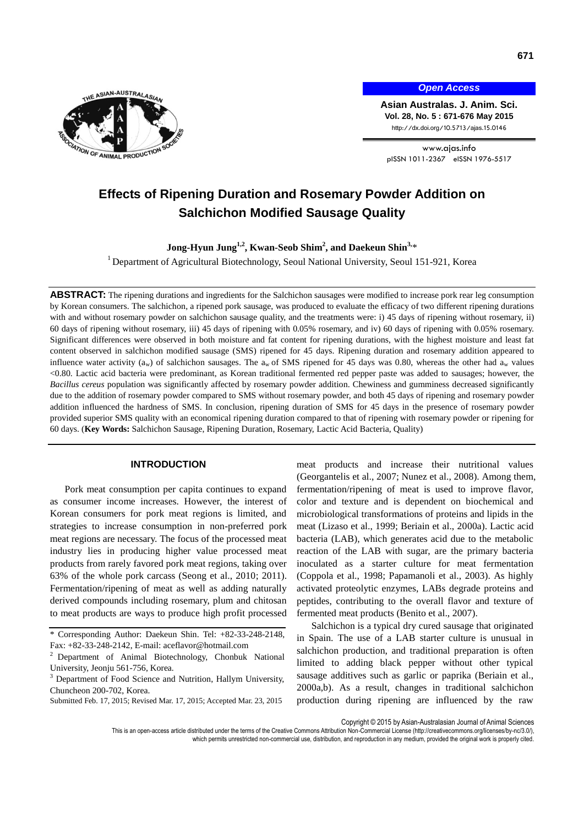

*Open Access*

**Asian Australas. J. Anim. Sci. Vol. 28, No. 5 : 671-676 May 2015** http://dx.doi.org/10.5713/ajas.15.0146

www.ajas.info pISSN 1011-2367 eISSN 1976-5517

# **Effects of Ripening Duration and Rosemary Powder Addition on Salchichon Modified Sausage Quality**

**Jong-Hyun Jung1,2, Kwan-Seob Shim<sup>2</sup> , and Daekeun Shin3,** \*

<sup>1</sup> Department of Agricultural Biotechnology, Seoul National University, Seoul 151-921, Korea

**ABSTRACT:** The ripening durations and ingredients for the Salchichon sausages were modified to increase pork rear leg consumption by Korean consumers. The salchichon, a ripened pork sausage, was produced to evaluate the efficacy of two different ripening durations with and without rosemary powder on salchichon sausage quality, and the treatments were: i) 45 days of ripening without rosemary, ii) 60 days of ripening without rosemary, iii) 45 days of ripening with 0.05% rosemary, and iv) 60 days of ripening with 0.05% rosemary. Significant differences were observed in both moisture and fat content for ripening durations, with the highest moisture and least fat content observed in salchichon modified sausage (SMS) ripened for 45 days. Ripening duration and rosemary addition appeared to influence water activity ( $a_w$ ) of salchichon sausages. The  $a_w$  of SMS ripened for 45 days was 0.80, whereas the other had  $a_w$  values <0.80. Lactic acid bacteria were predominant, as Korean traditional fermented red pepper paste was added to sausages; however, the *Bacillus cereus* population was significantly affected by rosemary powder addition. Chewiness and gumminess decreased significantly due to the addition of rosemary powder compared to SMS without rosemary powder, and both 45 days of ripening and rosemary powder addition influenced the hardness of SMS. In conclusion, ripening duration of SMS for 45 days in the presence of rosemary powder provided superior SMS quality with an economical ripening duration compared to that of ripening with rosemary powder or ripening for 60 days. (**Key Words:** Salchichon Sausage, Ripening Duration, Rosemary, Lactic Acid Bacteria, Quality)

# **INTRODUCTION**

Pork meat consumption per capita continues to expand as consumer income increases. However, the interest of Korean consumers for pork meat regions is limited, and strategies to increase consumption in non-preferred pork meat regions are necessary. The focus of the processed meat industry lies in producing higher value processed meat products from rarely favored pork meat regions, taking over 63% of the whole pork carcass (Seong et al., 2010; 2011). Fermentation/ripening of meat as well as adding naturally derived compounds including rosemary, plum and chitosan to meat products are ways to produce high profit processed

Submitted Feb. 17, 2015; Revised Mar. 17, 2015; Accepted Mar. 23, 2015

meat products and increase their nutritional values (Georgantelis et al., 2007; Nunez et al., 2008). Among them, fermentation/ripening of meat is used to improve flavor, color and texture and is dependent on biochemical and microbiological transformations of proteins and lipids in the meat (Lizaso et al., 1999; Beriain et al., 2000a). Lactic acid bacteria (LAB), which generates acid due to the metabolic reaction of the LAB with sugar, are the primary bacteria inoculated as a starter culture for meat fermentation (Coppola et al., 1998; Papamanoli et al., 2003). As highly activated proteolytic enzymes, LABs degrade proteins and peptides, contributing to the overall flavor and texture of fermented meat products (Benito et al., 2007).

Salchichon is a typical dry cured sausage that originated in Spain. The use of a LAB starter culture is unusual in salchichon production, and traditional preparation is often limited to adding black pepper without other typical sausage additives such as garlic or paprika (Beriain et al., 2000a,b). As a result, changes in traditional salchichon production during ripening are influenced by the raw

Copyright © 2015 by Asian-Australasian Journal of Animal Sciences

<sup>\*</sup> Corresponding Author: Daekeun Shin. Tel: +82-33-248-2148, Fax: +82-33-248-2142, E-mail[: aceflavor@hotmail.com](mailto:aceflavor@hotmail.com)

<sup>2</sup> Department of Animal Biotechnology, Chonbuk National University, Jeonju 561-756, Korea.

 $3$  Department of Food Science and Nutrition, Hallym University, Chuncheon 200-702, Korea.

This is an open-access article distributed under the terms of the Creative Commons Attribution Non-Commercial License [\(http://creativecommons.org/licenses/by-nc/3.0/\),](http://creativecommons.org/licenses/by-nc/3.0/) which permits unrestricted non-commercial use, distribution, and reproduction in any medium, provided the original work is properly cited.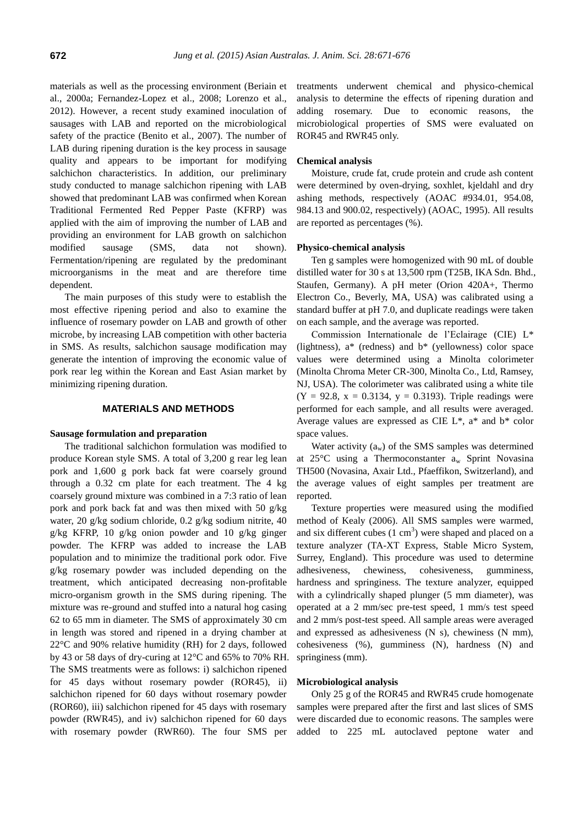materials as well as the processing environment (Beriain et al., 2000a; Fernandez-Lopez et al., 2008; Lorenzo et al., 2012). However, a recent study examined inoculation of sausages with LAB and reported on the microbiological safety of the practice (Benito et al., 2007). The number of LAB during ripening duration is the key process in sausage quality and appears to be important for modifying salchichon characteristics. In addition, our preliminary study conducted to manage salchichon ripening with LAB showed that predominant LAB was confirmed when Korean Traditional Fermented Red Pepper Paste (KFRP) was applied with the aim of improving the number of LAB and providing an environment for LAB growth on salchichon modified sausage (SMS, data not shown). Fermentation/ripening are regulated by the predominant microorganisms in the meat and are therefore time dependent.

The main purposes of this study were to establish the most effective ripening period and also to examine the influence of rosemary powder on LAB and growth of other microbe, by increasing LAB competition with other bacteria in SMS. As results, salchichon sausage modification may generate the intention of improving the economic value of pork rear leg within the Korean and East Asian market by minimizing ripening duration.

## **MATERIALS AND METHODS**

#### **Sausage formulation and preparation**

The traditional salchichon formulation was modified to produce Korean style SMS. A total of 3,200 g rear leg lean pork and 1,600 g pork back fat were coarsely ground through a 0.32 cm plate for each treatment. The 4 kg coarsely ground mixture was combined in a 7:3 ratio of lean pork and pork back fat and was then mixed with 50 g/kg water, 20 g/kg sodium chloride, 0.2 g/kg sodium nitrite, 40 g/kg KFRP, 10 g/kg onion powder and 10 g/kg ginger powder. The KFRP was added to increase the LAB population and to minimize the traditional pork odor. Five g/kg rosemary powder was included depending on the treatment, which anticipated decreasing non-profitable micro-organism growth in the SMS during ripening. The mixture was re-ground and stuffed into a natural hog casing 62 to 65 mm in diameter. The SMS of approximately 30 cm in length was stored and ripened in a drying chamber at 22°C and 90% relative humidity (RH) for 2 days, followed by 43 or 58 days of dry-curing at 12°C and 65% to 70% RH. The SMS treatments were as follows: i) salchichon ripened for 45 days without rosemary powder (ROR45), ii) salchichon ripened for 60 days without rosemary powder (ROR60), iii) salchichon ripened for 45 days with rosemary powder (RWR45), and iv) salchichon ripened for 60 days with rosemary powder (RWR60). The four SMS per

treatments underwent chemical and physico-chemical analysis to determine the effects of ripening duration and adding rosemary. Due to economic reasons, the microbiological properties of SMS were evaluated on ROR45 and RWR45 only.

#### **Chemical analysis**

Moisture, crude fat, crude protein and crude ash content were determined by oven-drying, soxhlet, kjeldahl and dry ashing methods, respectively (AOAC #934.01, 954.08, 984.13 and 900.02, respectively) (AOAC, 1995). All results are reported as percentages (%).

#### **Physico-chemical analysis**

Ten g samples were homogenized with 90 mL of double distilled water for 30 s at 13,500 rpm (T25B, IKA Sdn. Bhd., Staufen, Germany). A pH meter (Orion 420A+, Thermo Electron Co., Beverly, MA, USA) was calibrated using a standard buffer at pH 7.0, and duplicate readings were taken on each sample, and the average was reported.

Commission Internationale de l'Eclairage (CIE) L\* (lightness), a\* (redness) and b\* (yellowness) color space values were determined using a Minolta colorimeter (Minolta Chroma Meter CR-300, Minolta Co., Ltd, Ramsey, NJ, USA). The colorimeter was calibrated using a white tile  $(Y = 92.8, x = 0.3134, y = 0.3193)$ . Triple readings were performed for each sample, and all results were averaged. Average values are expressed as CIE L\*, a\* and b\* color space values.

Water activity  $(a_w)$  of the SMS samples was determined at  $25^{\circ}$ C using a Thermoconstanter  $a_w$  Sprint Novasina TH500 (Novasina, Axair Ltd., Pfaeffikon, Switzerland), and the average values of eight samples per treatment are reported.

Texture properties were measured using the modified method of Kealy (2006). All SMS samples were warmed, and six different cubes  $(1 \text{ cm}^3)$  were shaped and placed on a texture analyzer (TA-XT Express, Stable Micro System, Surrey, England). This procedure was used to determine adhesiveness, chewiness, cohesiveness, gumminess, hardness and springiness. The texture analyzer, equipped with a cylindrically shaped plunger (5 mm diameter), was operated at a 2 mm/sec pre-test speed, 1 mm/s test speed and 2 mm/s post-test speed. All sample areas were averaged and expressed as adhesiveness (N s), chewiness (N mm), cohesiveness (%), gumminess (N), hardness (N) and springiness (mm).

#### **Microbiological analysis**

Only 25 g of the ROR45 and RWR45 crude homogenate samples were prepared after the first and last slices of SMS were discarded due to economic reasons. The samples were added to 225 mL autoclaved peptone water and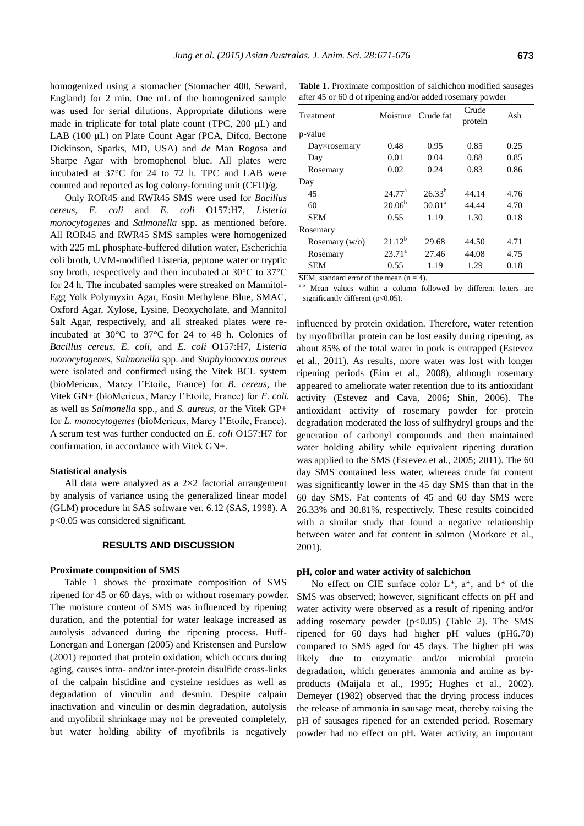homogenized using a stomacher (Stomacher 400, Seward, England) for 2 min. One mL of the homogenized sample was used for serial dilutions. Appropriate dilutions were made in triplicate for total plate count (TPC, 200 μL) and LAB (100 μL) on Plate Count Agar (PCA, Difco, Bectone Dickinson, Sparks, MD, USA) and *de* Man Rogosa and Sharpe Agar with bromophenol blue. All plates were incubated at 37°C for 24 to 72 h. TPC and LAB were counted and reported as log colony-forming unit (CFU)/g.

Only ROR45 and RWR45 SMS were used for *Bacillus cereus*, *E. coli* and *E. coli* O157:H7, *Listeria monocytogenes* and *Salmonella* spp. as mentioned before. All ROR45 and RWR45 SMS samples were homogenized with 225 mL phosphate-buffered dilution water, Escherichia coli broth, UVM-modified Listeria, peptone water or tryptic soy broth, respectively and then incubated at 30°C to 37°C for 24 h. The incubated samples were streaked on Mannitol-Egg Yolk Polymyxin Agar, Eosin Methylene Blue, SMAC, Oxford Agar, Xylose, Lysine, Deoxycholate, and Mannitol Salt Agar, respectively, and all streaked plates were reincubated at 30°C to 37°C for 24 to 48 h. Colonies of *Bacillus cereus*, *E. coli*, and *E. coli* O157:H7, *Listeria monocytogenes*, *Salmonella* spp. and *Staphylococcus aureus* were isolated and confirmed using the Vitek BCL system (bioMerieux, Marcy I'Etoile, France) for *B. cereus*, the Vitek GN+ (bioMerieux, Marcy I'Etoile, France) for *E. coli.* as well as *Salmonella* spp., and *S. aureus*, or the Vitek GP+ for *L. monocytogenes* (bioMerieux, Marcy I'Etoile, France). A serum test was further conducted on *E. coli* O157:H7 for confirmation, in accordance with Vitek GN+.

#### **Statistical analysis**

All data were analyzed as a 2×2 factorial arrangement by analysis of variance using the generalized linear model (GLM) procedure in SAS software ver. 6.12 (SAS, 1998). A p<0.05 was considered significant.

## **RESULTS AND DISCUSSION**

#### **Proximate composition of SMS**

Table 1 shows the proximate composition of SMS ripened for 45 or 60 days, with or without rosemary powder. The moisture content of SMS was influenced by ripening duration, and the potential for water leakage increased as autolysis advanced during the ripening process. Huff-Lonergan and Lonergan (2005) and Kristensen and Purslow (2001) reported that protein oxidation, which occurs during aging, causes intra- and/or inter-protein disulfide cross-links of the calpain histidine and cysteine residues as well as degradation of vinculin and desmin. Despite calpain inactivation and vinculin or desmin degradation, autolysis and myofibril shrinkage may not be prevented completely, but water holding ability of myofibrils is negatively

**Table 1.** Proximate composition of salchichon modified sausages after 45 or 60 d of ripening and/or added rosemary powder

| Treatment            | Moisture        | Crude fat          | Crude   | Ash  |
|----------------------|-----------------|--------------------|---------|------|
|                      |                 |                    | protein |      |
| p-value              |                 |                    |         |      |
| $Day\times$ rosemary | 0.48            | 0.95               | 0.85    | 0.25 |
| Day                  | 0.01            | 0.04               | 0.88    | 0.85 |
| Rosemary             | 0.02            | 0.24               | 0.83    | 0.86 |
| Day                  |                 |                    |         |      |
| 45                   | $24.77^{\rm a}$ | $26.33^{b}$        | 44.14   | 4.76 |
| 60                   | $20.06^{b}$     | 30.81 <sup>a</sup> | 44.44   | 4.70 |
| <b>SEM</b>           | 0.55            | 1.19               | 1.30    | 0.18 |
| Rosemary             |                 |                    |         |      |
| Rosemary $(w/o)$     | $21.12^b$       | 29.68              | 44.50   | 4.71 |
| Rosemary             | $23.71^a$       | 27.46              | 44.08   | 4.75 |
| SEM                  | 0.55            | 1.19               | 1.29    | 0.18 |

SEM, standard error of the mean  $(n = 4)$ .

a,b Mean values within a column followed by different letters are significantly different (p<0.05).

influenced by protein oxidation. Therefore, water retention by myofibrillar protein can be lost easily during ripening, as about 85% of the total water in pork is entrapped (Estevez et al., 2011). As results, more water was lost with longer ripening periods (Eim et al., 2008), although rosemary appeared to ameliorate water retention due to its antioxidant activity (Estevez and Cava, 2006; Shin, 2006). The antioxidant activity of rosemary powder for protein degradation moderated the loss of sulfhydryl groups and the generation of carbonyl compounds and then maintained water holding ability while equivalent ripening duration was applied to the SMS (Estevez et al., 2005; 2011). The 60 day SMS contained less water, whereas crude fat content was significantly lower in the 45 day SMS than that in the 60 day SMS. Fat contents of 45 and 60 day SMS were 26.33% and 30.81%, respectively. These results coincided with a similar study that found a negative relationship between water and fat content in salmon (Morkore et al., 2001).

#### **pH, color and water activity of salchichon**

No effect on CIE surface color L\*, a\*, and b\* of the SMS was observed; however, significant effects on pH and water activity were observed as a result of ripening and/or adding rosemary powder  $(p<0.05)$  (Table 2). The SMS ripened for 60 days had higher pH values (pH6.70) compared to SMS aged for 45 days. The higher pH was likely due to enzymatic and/or microbial protein degradation, which generates ammonia and amine as byproducts (Maijala et al., 1995; Hughes et al., 2002). Demeyer (1982) observed that the drying process induces the release of ammonia in sausage meat, thereby raising the pH of sausages ripened for an extended period. Rosemary powder had no effect on pH. Water activity, an important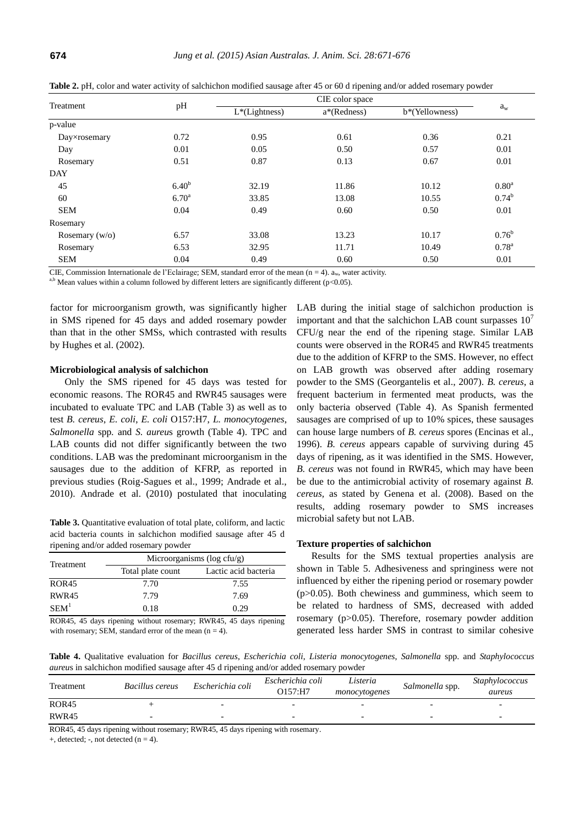| Treatment        | pH                |                  |             |                |                |  |
|------------------|-------------------|------------------|-------------|----------------|----------------|--|
|                  |                   | $L^*(Lightness)$ | a*(Redness) | b*(Yellowness) | $a_w$          |  |
| p-value          |                   |                  |             |                |                |  |
| Day×rosemary     | 0.72              | 0.95             | 0.61        | 0.36           | 0.21           |  |
| Day              | 0.01              | 0.05             | 0.50        | 0.57           | 0.01           |  |
| Rosemary         | 0.51              | 0.87             | 0.13        | 0.67           | 0.01           |  |
| <b>DAY</b>       |                   |                  |             |                |                |  |
| 45               | 6.40 <sup>b</sup> | 32.19            | 11.86       | 10.12          | $0.80^{\rm a}$ |  |
| 60               | $6.70^{\rm a}$    | 33.85            | 13.08       | 10.55          | $0.74^{\rm b}$ |  |
| <b>SEM</b>       | 0.04              | 0.49             | 0.60        | 0.50           | 0.01           |  |
| Rosemary         |                   |                  |             |                |                |  |
| Rosemary $(w/o)$ | 6.57              | 33.08            | 13.23       | 10.17          | $0.76^{\rm b}$ |  |
| Rosemary         | 6.53              | 32.95            | 11.71       | 10.49          | $0.78^{a}$     |  |
| <b>SEM</b>       | 0.04              | 0.49             | 0.60        | 0.50           | 0.01           |  |

**Table 2.** pH, color and water activity of salchichon modified sausage after 45 or 60 d ripening and/or added rosemary powder

CIE, Commission Internationale de l'Eclairage; SEM, standard error of the mean (n = 4).  $a_w$ , water activity.

a,b Mean values within a column followed by different letters are significantly different ( $p<0.05$ ).

factor for microorganism growth, was significantly higher in SMS ripened for 45 days and added rosemary powder than that in the other SMSs, which contrasted with results by Hughes et al. (2002).

#### **Microbiological analysis of salchichon**

Only the SMS ripened for 45 days was tested for economic reasons. The ROR45 and RWR45 sausages were incubated to evaluate TPC and LAB (Table 3) as well as to test *B. cereus*, *E. coli*, *E. coli* O157:H7, *L. monocytogenes*, *Salmonella* spp*.* and *S. aureu*s growth (Table 4). TPC and LAB counts did not differ significantly between the two conditions. LAB was the predominant microorganism in the sausages due to the addition of KFRP, as reported in previous studies (Roig-Sagues et al., 1999; Andrade et al., 2010). Andrade et al. (2010) postulated that inoculating

**Table 3.** Quantitative evaluation of total plate, coliform, and lactic acid bacteria counts in salchichon modified sausage after 45 d ripening and/or added rosemary powder

| <b>Treatment</b> | Microorganisms ( $log c f u/g$ ) |                      |  |  |
|------------------|----------------------------------|----------------------|--|--|
|                  | Total plate count                | Lactic acid bacteria |  |  |
| <b>ROR45</b>     | 7.70                             | 7.55                 |  |  |
| RWR45            | 7.79                             | 7.69                 |  |  |
| SEM <sup>1</sup> | 0.18                             | 0.29                 |  |  |

ROR45, 45 days ripening without rosemary; RWR45, 45 days ripening with rosemary; SEM, standard error of the mean  $(n = 4)$ .

LAB during the initial stage of salchichon production is important and that the salchichon LAB count surpasses  $10<sup>7</sup>$ CFU/g near the end of the ripening stage. Similar LAB counts were observed in the ROR45 and RWR45 treatments due to the addition of KFRP to the SMS. However, no effect on LAB growth was observed after adding rosemary powder to the SMS (Georgantelis et al., 2007). *B. cereus*, a frequent bacterium in fermented meat products, was the only bacteria observed (Table 4). As Spanish fermented sausages are comprised of up to 10% spices, these sausages can house large numbers of *B. cereus* spores (Encinas et al., 1996). *B. cereus* appears capable of surviving during 45 days of ripening, as it was identified in the SMS. However, *B. cereus* was not found in RWR45, which may have been be due to the antimicrobial activity of rosemary against *B. cereus,* as stated by Genena et al. (2008). Based on the results, adding rosemary powder to SMS increases microbial safety but not LAB.

## **Texture properties of salchichon**

Results for the SMS textual properties analysis are shown in Table 5. Adhesiveness and springiness were not influenced by either the ripening period or rosemary powder (p>0.05). Both chewiness and gumminess, which seem to be related to hardness of SMS, decreased with added rosemary (p>0.05). Therefore, rosemary powder addition generated less harder SMS in contrast to similar cohesive

**Table 4.** Qualitative evaluation for *Bacillus cereus*, *Escherichia coli*, *Listeria monocytogenes*, *Salmonella* spp. and *Staphylococcus aureu*s in salchichon modified sausage after 45 d ripening and/or added rosemary powder

| Treatment    | Bacillus cereus | Escherichia coli | Escherichia coli<br>O157:HT | Listeria<br>monocytogenes | Salmonella spp. | <i>Staphylococcus</i><br>aureus |
|--------------|-----------------|------------------|-----------------------------|---------------------------|-----------------|---------------------------------|
| <b>ROR45</b> |                 | -                |                             | -                         |                 |                                 |
| RWR45        |                 | -                |                             | $\overline{\phantom{0}}$  |                 | $\overline{\phantom{0}}$        |

ROR45, 45 days ripening without rosemary; RWR45, 45 days ripening with rosemary.

 $+$ , detected;  $-$ , not detected (n = 4).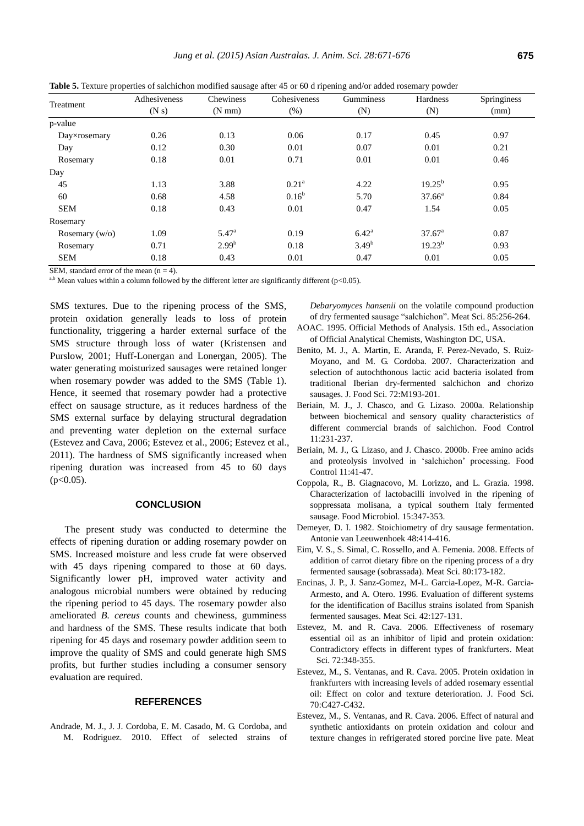| Treatment        | Adhesiveness | Chewiness        | Cohesiveness   | Gumminess      | Hardness        | Springiness |
|------------------|--------------|------------------|----------------|----------------|-----------------|-------------|
|                  | (N s)        | $(N \text{ mm})$ | $(\%)$         | (N)            | (N)             | (mm)        |
| p-value          |              |                  |                |                |                 |             |
| Day×rosemary     | 0.26         | 0.13             | 0.06           | 0.17           | 0.45            | 0.97        |
| Day              | 0.12         | 0.30             | 0.01           | 0.07           | 0.01            | 0.21        |
| Rosemary         | 0.18         | 0.01             | 0.71           | 0.01           | 0.01            | 0.46        |
| Day              |              |                  |                |                |                 |             |
| 45               | 1.13         | 3.88             | $0.21^{\rm a}$ | 4.22           | $19.25^{b}$     | 0.95        |
| 60               | 0.68         | 4.58             | $0.16^{b}$     | 5.70           | $37.66^{\circ}$ | 0.84        |
| <b>SEM</b>       | 0.18         | 0.43             | 0.01           | 0.47           | 1.54            | 0.05        |
| Rosemary         |              |                  |                |                |                 |             |
| Rosemary $(w/o)$ | 1.09         | $5.47^{\circ}$   | 0.19           | $6.42^{\rm a}$ | $37.67^{\circ}$ | 0.87        |
| Rosemary         | 0.71         | $2.99^{b}$       | 0.18           | $3.49^{b}$     | $19.23^{b}$     | 0.93        |
| <b>SEM</b>       | 0.18         | 0.43             | 0.01           | 0.47           | 0.01            | 0.05        |

**Table 5.** Texture properties of salchichon modified sausage after 45 or 60 d ripening and/or added rosemary powder

SEM, standard error of the mean  $(n = 4)$ .

a,b Mean values within a column followed by the different letter are significantly different ( $p$ <0.05).

SMS textures. Due to the ripening process of the SMS, protein oxidation generally leads to loss of protein functionality, triggering a harder external surface of the SMS structure through loss of water (Kristensen and Purslow, 2001; Huff-Lonergan and Lonergan, 2005). The water generating moisturized sausages were retained longer when rosemary powder was added to the SMS (Table 1). Hence, it seemed that rosemary powder had a protective effect on sausage structure, as it reduces hardness of the SMS external surface by delaying structural degradation and preventing water depletion on the external surface (Estevez and Cava, 2006; Estevez et al., 2006; Estevez et al., 2011). The hardness of SMS significantly increased when ripening duration was increased from 45 to 60 days  $(p<0.05)$ .

## **CONCLUSION**

The present study was conducted to determine the effects of ripening duration or adding rosemary powder on SMS. Increased moisture and less crude fat were observed with 45 days ripening compared to those at 60 days. Significantly lower pH, improved water activity and analogous microbial numbers were obtained by reducing the ripening period to 45 days. The rosemary powder also ameliorated *B. cereus* counts and chewiness, gumminess and hardness of the SMS. These results indicate that both ripening for 45 days and rosemary powder addition seem to improve the quality of SMS and could generate high SMS profits, but further studies including a consumer sensory evaluation are required.

# **REFERENCES**

Andrade, M. J., J. J. Cordoba, E. M. Casado, M. G. Cordoba, and M. Rodriguez. 2010. Effect of [selected](http://www.sciencedirect.com/science/article/pii/S0309174010000124) strains of *Debaryomyces hansenii* [on the volatile compound](http://www.sciencedirect.com/science/article/pii/S0309174010000124) production of dry fermented [sausage "salchichon".](http://www.sciencedirect.com/science/article/pii/S0309174010000124) Meat Sci. 85:256-264.

- AOAC. 1995. Official Methods of Analysis. 15th ed., Association of Official Analytical Chemists, Washington DC, USA.
- Benito, M. J., A. Martin, E. Aranda, F. Perez-Nevado, S. Ruiz-Moyano, and M. G. Cordoba. 2007. [Characterization and](http://onlinelibrary.wiley.com/doi/10.1111/j.1750-3841.2007.00419.x/abstract;jsessionid=492606181EE559A35AD8920A169EDE33.f02t03?deniedAccessCustomisedMessage=&userIsAuthenticated=false)  [selection of autochthonous lactic acid bacteria isolated from](http://onlinelibrary.wiley.com/doi/10.1111/j.1750-3841.2007.00419.x/abstract;jsessionid=492606181EE559A35AD8920A169EDE33.f02t03?deniedAccessCustomisedMessage=&userIsAuthenticated=false)  traditional Iberian [dry-fermented salchichon and chorizo](http://onlinelibrary.wiley.com/doi/10.1111/j.1750-3841.2007.00419.x/abstract;jsessionid=492606181EE559A35AD8920A169EDE33.f02t03?deniedAccessCustomisedMessage=&userIsAuthenticated=false) [sausages.](http://onlinelibrary.wiley.com/doi/10.1111/j.1750-3841.2007.00419.x/abstract;jsessionid=492606181EE559A35AD8920A169EDE33.f02t03?deniedAccessCustomisedMessage=&userIsAuthenticated=false) J. Food Sci. 72:M193-201.
- Beriain, M. J., J. Chasco, and G. Lizaso. 2000a. [Relationship](http://www.sciencedirect.com/science/article/pii/S0956713599001048)  between biochemical and [sensory quality characteristics of](http://www.sciencedirect.com/science/article/pii/S0956713599001048)  [different commercial brands of salchichon.](http://www.sciencedirect.com/science/article/pii/S0956713599001048) Food Control  $11.231 - 237$
- Beriain, M. J., G. Lizaso, and J. Chasco. 2000b. [Free amino acids](http://www.sciencedirect.com/science/article/pii/S0956713599000626)  and proteolysis involved [in 'salchichon' processing.](http://www.sciencedirect.com/science/article/pii/S0956713599000626) Food Control 11:41-47.
- Coppola, R., B. Giagnacovo, M. Lorizzo, and L. Grazia. 1998. Characterization of [lactobacilli involved](http://www.sciencedirect.com/science/article/pii/S0740002097901799) in the ripening of soppressata [molisana, a typical southern Italy fermented](http://www.sciencedirect.com/science/article/pii/S0740002097901799) [sausage.](http://www.sciencedirect.com/science/article/pii/S0740002097901799) Food Microbiol. 15:347-353.
- Demeyer, D. I. 1982. [Stoichiometry of dry sausage fermentation.](http://link.springer.com/article/10.1007%2FBF00418298?LI=true) Antonie van Leeuwenhoek 48:414-416.
- Eim, V. S., S. Simal, C. Rossello, and A. Femenia. 2008[. Effects of](http://www.sciencedirect.com/science/article/pii/S0309174007003890) addition of carrot dietary [fibre on the ripening process of a dry](http://www.sciencedirect.com/science/article/pii/S0309174007003890)  [fermented sausage \(sobrassada\).](http://www.sciencedirect.com/science/article/pii/S0309174007003890) Meat Sci. 80:173-182.
- Encinas, J. P., J. Sanz-Gomez, M-L. Garcia-Lopez, M-R. Garcia-Armesto, and A. Otero. 1996. [Evaluation of different systems](http://www.sciencedirect.com/science/article/pii/0309174095000364)  for the identification of [Bacillus strains isolated from](http://www.sciencedirect.com/science/article/pii/0309174095000364) Spanish [fermented sausages.](http://www.sciencedirect.com/science/article/pii/0309174095000364) Meat Sci. 42:127-131.
- Estevez, M. and R. Cava. 2006. Effectiveness [of rosemary](http://www.sciencedirect.com/science/article/pii/S0309174005003074)  [essential oil as an inhibitor of lipid and protein oxidation:](http://www.sciencedirect.com/science/article/pii/S0309174005003074)  [Contradictory effects in different types of frankfurters.](http://www.sciencedirect.com/science/article/pii/S0309174005003074) Meat Sci. 72:348-355.
- Estevez, M., S. Ventanas, and R. Cava. 2005. [Protein oxidation in](http://onlinelibrary.wiley.com/doi/10.1111/j.1365-2621.2005.tb11464.x/abstract)  frankfurters with [increasing levels of added rosemary essential](http://onlinelibrary.wiley.com/doi/10.1111/j.1365-2621.2005.tb11464.x/abstract)  [oil: Effect on color and texture deterioration.](http://onlinelibrary.wiley.com/doi/10.1111/j.1365-2621.2005.tb11464.x/abstract) J. Food Sci. 70:C427-C432.
- Estevez, M., S. Ventanas, and R. Cava. 2006[. Effect of natural and](http://www.sciencedirect.com/science/article/pii/S0309174006001124)  synthetic antioxidants on [protein oxidation and colour and](http://www.sciencedirect.com/science/article/pii/S0309174006001124)  [texture changes in refrigerated stored porcine live](http://www.sciencedirect.com/science/article/pii/S0309174006001124) pate. Meat